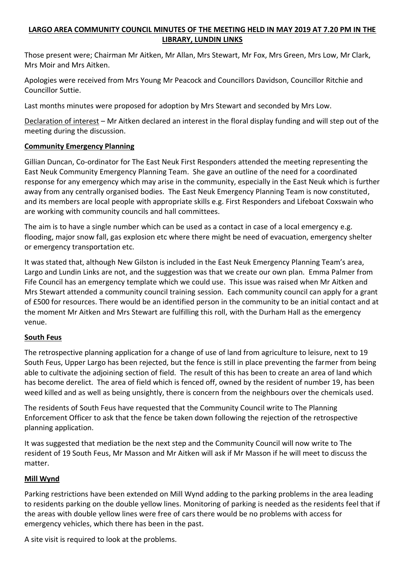# **LARGO AREA COMMUNITY COUNCIL MINUTES OF THE MEETING HELD IN MAY 2019 AT 7.20 PM IN THE LIBRARY, LUNDIN LINKS**

Those present were; Chairman Mr Aitken, Mr Allan, Mrs Stewart, Mr Fox, Mrs Green, Mrs Low, Mr Clark, Mrs Moir and Mrs Aitken.

Apologies were received from Mrs Young Mr Peacock and Councillors Davidson, Councillor Ritchie and Councillor Suttie.

Last months minutes were proposed for adoption by Mrs Stewart and seconded by Mrs Low.

Declaration of interest – Mr Aitken declared an interest in the floral display funding and will step out of the meeting during the discussion.

## **Community Emergency Planning**

Gillian Duncan, Co-ordinator for The East Neuk First Responders attended the meeting representing the East Neuk Community Emergency Planning Team. She gave an outline of the need for a coordinated response for any emergency which may arise in the community, especially in the East Neuk which is further away from any centrally organised bodies. The East Neuk Emergency Planning Team is now constituted, and its members are local people with appropriate skills e.g. First Responders and Lifeboat Coxswain who are working with community councils and hall committees.

The aim is to have a single number which can be used as a contact in case of a local emergency e.g. flooding, major snow fall, gas explosion etc where there might be need of evacuation, emergency shelter or emergency transportation etc.

It was stated that, although New Gilston is included in the East Neuk Emergency Planning Team's area, Largo and Lundin Links are not, and the suggestion was that we create our own plan. Emma Palmer from Fife Council has an emergency template which we could use. This issue was raised when Mr Aitken and Mrs Stewart attended a community council training session. Each community council can apply for a grant of £500 for resources. There would be an identified person in the community to be an initial contact and at the moment Mr Aitken and Mrs Stewart are fulfilling this roll, with the Durham Hall as the emergency venue.

#### **South Feus**

The retrospective planning application for a change of use of land from agriculture to leisure, next to 19 South Feus, Upper Largo has been rejected, but the fence is still in place preventing the farmer from being able to cultivate the adjoining section of field. The result of this has been to create an area of land which has become derelict. The area of field which is fenced off, owned by the resident of number 19, has been weed killed and as well as being unsightly, there is concern from the neighbours over the chemicals used.

The residents of South Feus have requested that the Community Council write to The Planning Enforcement Officer to ask that the fence be taken down following the rejection of the retrospective planning application.

It was suggested that mediation be the next step and the Community Council will now write to The resident of 19 South Feus, Mr Masson and Mr Aitken will ask if Mr Masson if he will meet to discuss the matter.

#### **Mill Wynd**

Parking restrictions have been extended on Mill Wynd adding to the parking problems in the area leading to residents parking on the double yellow lines. Monitoring of parking is needed as the residents feel that if the areas with double yellow lines were free of cars there would be no problems with access for emergency vehicles, which there has been in the past.

A site visit is required to look at the problems.